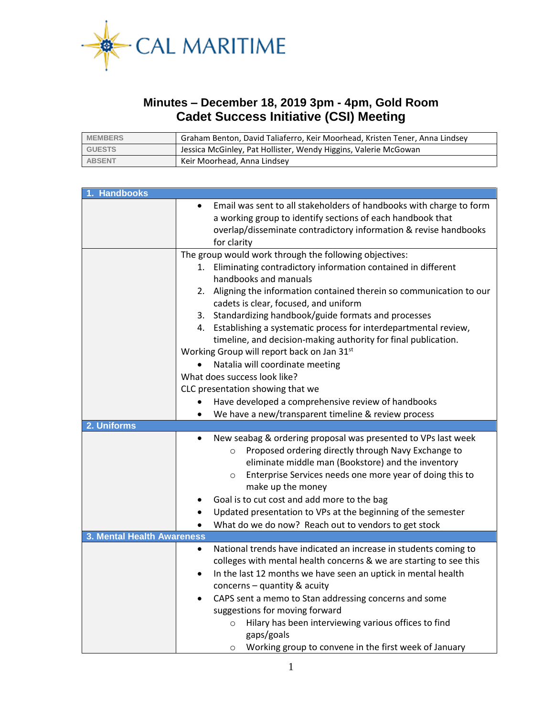

## **Minutes – December 18, 2019 3pm - 4pm, Gold Room Cadet Success Initiative (CSI) Meeting**

| <b>MEMBERS</b> | Graham Benton, David Taliaferro, Keir Moorhead, Kristen Tener, Anna Lindsey |  |
|----------------|-----------------------------------------------------------------------------|--|
| <b>GUESTS</b>  | Jessica McGinley, Pat Hollister, Wendy Higgins, Valerie McGowan             |  |
| <b>ABSENT</b>  | Keir Moorhead, Anna Lindsey                                                 |  |

| <b>Handbooks</b>           |                                                                                                                                                                                                                                                                                                                                                              |  |  |  |  |
|----------------------------|--------------------------------------------------------------------------------------------------------------------------------------------------------------------------------------------------------------------------------------------------------------------------------------------------------------------------------------------------------------|--|--|--|--|
|                            | Email was sent to all stakeholders of handbooks with charge to form<br>$\bullet$<br>a working group to identify sections of each handbook that<br>overlap/disseminate contradictory information & revise handbooks<br>for clarity                                                                                                                            |  |  |  |  |
|                            | The group would work through the following objectives:                                                                                                                                                                                                                                                                                                       |  |  |  |  |
|                            | 1. Eliminating contradictory information contained in different<br>handbooks and manuals                                                                                                                                                                                                                                                                     |  |  |  |  |
|                            | Aligning the information contained therein so communication to our<br>2.<br>cadets is clear, focused, and uniform                                                                                                                                                                                                                                            |  |  |  |  |
|                            | 3. Standardizing handbook/guide formats and processes                                                                                                                                                                                                                                                                                                        |  |  |  |  |
|                            | 4. Establishing a systematic process for interdepartmental review,                                                                                                                                                                                                                                                                                           |  |  |  |  |
|                            | timeline, and decision-making authority for final publication.                                                                                                                                                                                                                                                                                               |  |  |  |  |
|                            | Working Group will report back on Jan 31st                                                                                                                                                                                                                                                                                                                   |  |  |  |  |
|                            | Natalia will coordinate meeting                                                                                                                                                                                                                                                                                                                              |  |  |  |  |
|                            | What does success look like?                                                                                                                                                                                                                                                                                                                                 |  |  |  |  |
|                            | CLC presentation showing that we<br>Have developed a comprehensive review of handbooks<br>$\bullet$                                                                                                                                                                                                                                                          |  |  |  |  |
|                            | We have a new/transparent timeline & review process<br>$\bullet$                                                                                                                                                                                                                                                                                             |  |  |  |  |
| 2. Uniforms                |                                                                                                                                                                                                                                                                                                                                                              |  |  |  |  |
|                            | New seabag & ordering proposal was presented to VPs last week<br>$\bullet$<br>Proposed ordering directly through Navy Exchange to<br>$\circ$<br>eliminate middle man (Bookstore) and the inventory<br>Enterprise Services needs one more year of doing this to<br>$\circ$<br>make up the money<br>Goal is to cut cost and add more to the bag                |  |  |  |  |
|                            | Updated presentation to VPs at the beginning of the semester                                                                                                                                                                                                                                                                                                 |  |  |  |  |
|                            | What do we do now? Reach out to vendors to get stock                                                                                                                                                                                                                                                                                                         |  |  |  |  |
| 3. Mental Health Awareness |                                                                                                                                                                                                                                                                                                                                                              |  |  |  |  |
|                            | National trends have indicated an increase in students coming to<br>$\bullet$<br>colleges with mental health concerns & we are starting to see this<br>In the last 12 months we have seen an uptick in mental health<br>$\bullet$<br>concerns - quantity & acuity<br>CAPS sent a memo to Stan addressing concerns and some<br>suggestions for moving forward |  |  |  |  |
|                            | Hilary has been interviewing various offices to find<br>$\circ$<br>gaps/goals<br>Working group to convene in the first week of January<br>$\circ$                                                                                                                                                                                                            |  |  |  |  |